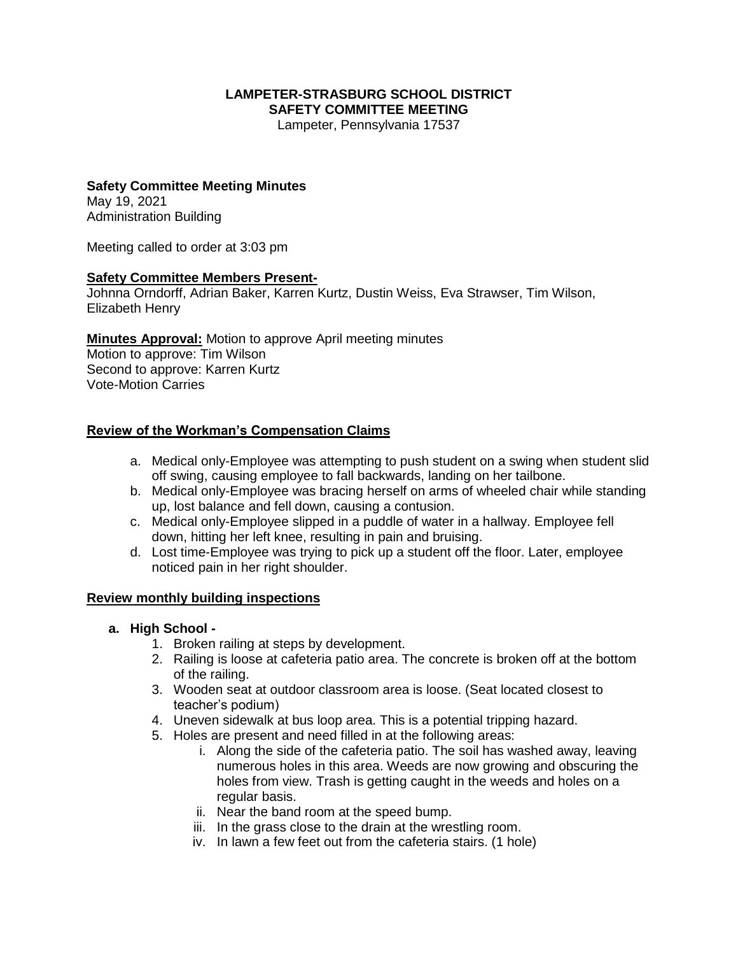#### **LAMPETER-STRASBURG SCHOOL DISTRICT SAFETY COMMITTEE MEETING**

Lampeter, Pennsylvania 17537

# **Safety Committee Meeting Minutes**

May 19, 2021 Administration Building

Meeting called to order at 3:03 pm

### **Safety Committee Members Present-**

Johnna Orndorff, Adrian Baker, Karren Kurtz, Dustin Weiss, Eva Strawser, Tim Wilson, Elizabeth Henry

**Minutes Approval:** Motion to approve April meeting minutes Motion to approve: Tim Wilson Second to approve: Karren Kurtz Vote-Motion Carries

### **Review of the Workman's Compensation Claims**

- a. Medical only-Employee was attempting to push student on a swing when student slid off swing, causing employee to fall backwards, landing on her tailbone.
- b. Medical only-Employee was bracing herself on arms of wheeled chair while standing up, lost balance and fell down, causing a contusion.
- c. Medical only-Employee slipped in a puddle of water in a hallway. Employee fell down, hitting her left knee, resulting in pain and bruising.
- d. Lost time-Employee was trying to pick up a student off the floor. Later, employee noticed pain in her right shoulder.

### **Review monthly building inspections**

### **a. High School -**

- 1. Broken railing at steps by development.
- 2. Railing is loose at cafeteria patio area. The concrete is broken off at the bottom of the railing.
- 3. Wooden seat at outdoor classroom area is loose. (Seat located closest to teacher's podium)
- 4. Uneven sidewalk at bus loop area. This is a potential tripping hazard.
- 5. Holes are present and need filled in at the following areas:
	- i. Along the side of the cafeteria patio. The soil has washed away, leaving numerous holes in this area. Weeds are now growing and obscuring the holes from view. Trash is getting caught in the weeds and holes on a regular basis.
	- ii. Near the band room at the speed bump.
	- iii. In the grass close to the drain at the wrestling room.
	- iv. In lawn a few feet out from the cafeteria stairs. (1 hole)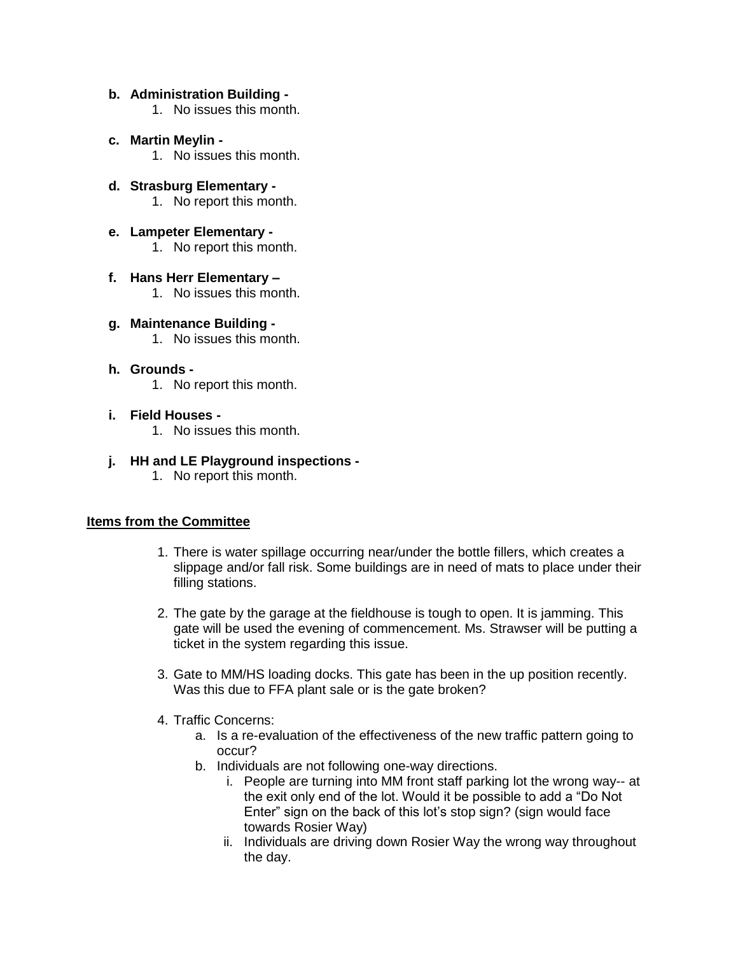#### **b. Administration Building -**

- 1. No issues this month.
- **c. Martin Meylin -**
	- 1. No issues this month.
- **d. Strasburg Elementary -** 1. No report this month.
- **e. Lampeter Elementary -** 1. No report this month.
- **f. Hans Herr Elementary –**
	- 1. No issues this month.
- **g. Maintenance Building -** 1. No issues this month.
- **h. Grounds -**
	- 1. No report this month.
- **i. Field Houses -** 1. No issues this month.
	-
- **j. HH and LE Playground inspections -**
	- 1. No report this month.

### **Items from the Committee**

- 1. There is water spillage occurring near/under the bottle fillers, which creates a slippage and/or fall risk. Some buildings are in need of mats to place under their filling stations.
- 2. The gate by the garage at the fieldhouse is tough to open. It is jamming. This gate will be used the evening of commencement. Ms. Strawser will be putting a ticket in the system regarding this issue.
- 3. Gate to MM/HS loading docks. This gate has been in the up position recently. Was this due to FFA plant sale or is the gate broken?
- 4. Traffic Concerns:
	- a. Is a re-evaluation of the effectiveness of the new traffic pattern going to occur?
	- b. Individuals are not following one-way directions.
		- i. People are turning into MM front staff parking lot the wrong way-- at the exit only end of the lot. Would it be possible to add a "Do Not Enter" sign on the back of this lot's stop sign? (sign would face towards Rosier Way)
		- ii. Individuals are driving down Rosier Way the wrong way throughout the day.